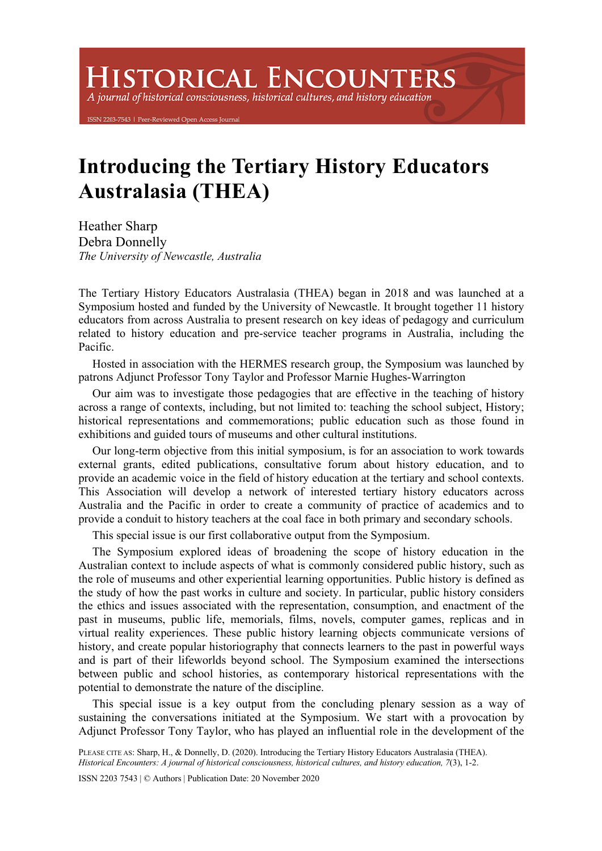## **HISTORICAL ENCOUNTERS**

A journal of historical consciousness, historical cultures, and history education

203-7543 | Peer-Reviewed Open Access Journ

## **Introducing the Tertiary History Educators Australasia (THEA)**

Heather Sharp Debra Donnelly *The University of Newcastle, Australia* 

The Tertiary History Educators Australasia (THEA) began in 2018 and was launched at a Symposium hosted and funded by the University of Newcastle. It brought together 11 history educators from across Australia to present research on key ideas of pedagogy and curriculum related to history education and pre-service teacher programs in Australia, including the Pacific.

Hosted in association with the HERMES research group, the Symposium was launched by patrons Adjunct Professor Tony Taylor and Professor Marnie Hughes-Warrington

Our aim was to investigate those pedagogies that are effective in the teaching of history across a range of contexts, including, but not limited to: teaching the school subject, History; historical representations and commemorations; public education such as those found in exhibitions and guided tours of museums and other cultural institutions.

Our long-term objective from this initial symposium, is for an association to work towards external grants, edited publications, consultative forum about history education, and to provide an academic voice in the field of history education at the tertiary and school contexts. This Association will develop a network of interested tertiary history educators across Australia and the Pacific in order to create a community of practice of academics and to provide a conduit to history teachers at the coal face in both primary and secondary schools.

This special issue is our first collaborative output from the Symposium.

The Symposium explored ideas of broadening the scope of history education in the Australian context to include aspects of what is commonly considered public history, such as the role of museums and other experiential learning opportunities. Public history is defined as the study of how the past works in culture and society. In particular, public history considers the ethics and issues associated with the representation, consumption, and enactment of the past in museums, public life, memorials, films, novels, computer games, replicas and in virtual reality experiences. These public history learning objects communicate versions of history, and create popular historiography that connects learners to the past in powerful ways and is part of their lifeworlds beyond school. The Symposium examined the intersections between public and school histories, as contemporary historical representations with the potential to demonstrate the nature of the discipline.

This special issue is a key output from the concluding plenary session as a way of sustaining the conversations initiated at the Symposium. We start with a provocation by Adjunct Professor Tony Taylor, who has played an influential role in the development of the

*Historical Encounters: A journal of historical consciousness, historical cultures, and history education, 7*(3), 1-2.

ISSN 2203 7543 | © Authors | Publication Date: 20 November 2020

PLEASE CITE AS: Sharp, H., & Donnelly, D. (2020). Introducing the Tertiary History Educators Australasia (THEA).